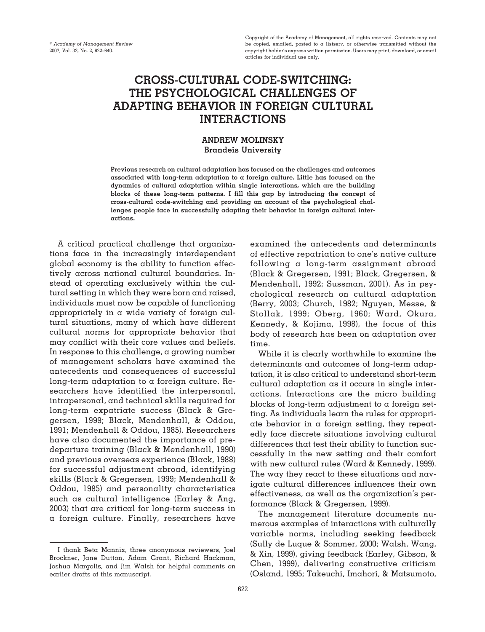Copyright of the Academy of Management, all rights reserved. Contents may not be copied, emailed, posted to a listserv, or otherwise transmitted without the copyright holder's express written permission. Users may print, download, or email articles for individual use only.

# **CROSS-CULTURAL CODE-SWITCHING: THE PSYCHOLOGICAL CHALLENGES OF ADAPTING BEHAVIOR IN FOREIGN CULTURAL INTERACTIONS**

# **ANDREW MOLINSKY Brandeis University**

**Previous research on cultural adaptation has focused on the challenges and outcomes associated with long-term adaptation to a foreign culture. Little has focused on the dynamics of cultural adaptation within single interactions, which are the building blocks of these long-term patterns. I fill this gap by introducing the concept of cross-cultural code-switching and providing an account of the psychological challenges people face in successfully adapting their behavior in foreign cultural interactions.**

A critical practical challenge that organizations face in the increasingly interdependent global economy is the ability to function effectively across national cultural boundaries. Instead of operating exclusively within the cultural setting in which they were born and raised, individuals must now be capable of functioning appropriately in a wide variety of foreign cultural situations, many of which have different cultural norms for appropriate behavior that may conflict with their core values and beliefs. In response to this challenge,  $\alpha$  growing number of management scholars have examined the antecedents and consequences of successful long-term adaptation to a foreign culture. Researchers have identified the interpersonal, intrapersonal, and technical skills required for long-term expatriate success (Black & Gregersen, 1999; Black, Mendenhall, & Oddou, 1991; Mendenhall & Oddou, 1985). Researchers have also documented the importance of predeparture training (Black & Mendenhall, 1990) and previous overseas experience (Black, 1988) for successful adjustment abroad, identifying skills (Black & Gregersen, 1999; Mendenhall & Oddou, 1985) and personality characteristics such as cultural intelligence (Earley & Ang, 2003) that are critical for long-term success in a foreign culture. Finally, researchers have

I thank Beta Mannix, three anonymous reviewers, Joel Brockner, Jane Dutton, Adam Grant, Richard Hackman, Joshua Margolis, and Jim Walsh for helpful comments on earlier drafts of this manuscript.

examined the antecedents and determinants of effective repatriation to one's native culture following a long-term assignment abroad (Black & Gregersen, 1991; Black, Gregersen, & Mendenhall, 1992; Sussman, 2001). As in psychological research on cultural adaptation (Berry, 2003; Church, 1982; Nguyen, Messe, & Stollak, 1999; Oberg, 1960; Ward, Okura, Kennedy, & Kojima, 1998), the focus of this body of research has been on adaptation over time.

While it is clearly worthwhile to examine the determinants and outcomes of long-term adaptation, it is also critical to understand short-term cultural adaptation as it occurs in single interactions. Interactions are the micro building blocks of long-term adjustment to a foreign setting. As individuals learn the rules for appropriate behavior in a foreign setting, they repeatedly face discrete situations involving cultural differences that test their ability to function successfully in the new setting and their comfort with new cultural rules (Ward & Kennedy, 1999). The way they react to these situations and navigate cultural differences influences their own effectiveness, as well as the organization's performance (Black & Gregersen, 1999).

The management literature documents numerous examples of interactions with culturally variable norms, including seeking feedback (Sully de Luque & Sommer, 2000; Walsh, Wang, & Xin, 1999), giving feedback (Earley, Gibson, & Chen, 1999), delivering constructive criticism (Osland, 1995; Takeuchi, Imahori, & Matsumoto,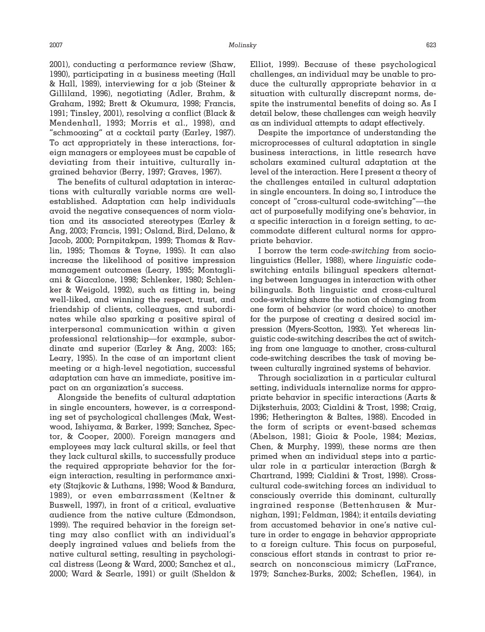2001), conducting a performance review (Shaw, 1990), participating in a business meeting (Hall & Hall, 1989), interviewing for a job (Steiner & Gilliland, 1996), negotiating (Adler, Brahm, & Graham, 1992; Brett & Okumura, 1998; Francis, 1991; Tinsley, 2001), resolving a conflict (Black & Mendenhall, 1993; Morris et al., 1998), and "schmoozing" at a cocktail party (Earley, 1987). To act appropriately in these interactions, foreign managers or employees must be capable of deviating from their intuitive, culturally ingrained behavior (Berry, 1997; Graves, 1967).

The benefits of cultural adaptation in interactions with culturally variable norms are wellestablished. Adaptation can help individuals avoid the negative consequences of norm violation and its associated stereotypes (Earley & Ang, 2003; Francis, 1991; Osland, Bird, Delano, & Jacob, 2000; Pornpitakpan, 1999; Thomas & Ravlin, 1995; Thomas & Toyne, 1995). It can also increase the likelihood of positive impression management outcomes (Leary, 1995; Montagliani & Giacalone, 1998; Schlenker, 1980; Schlenker & Weigold, 1992), such as fitting in, being well-liked, and winning the respect, trust, and friendship of clients, colleagues, and subordinates while also sparking a positive spiral of interpersonal communication within a given professional relationship—for example, subordinate and superior (Earley & Ang, 2003: 165; Leary, 1995). In the case of an important client meeting or a high-level negotiation, successful adaptation can have an immediate, positive impact on an organization's success.

Alongside the benefits of cultural adaptation in single encounters, however, is a corresponding set of psychological challenges (Mak, Westwood, Ishiyama, & Barker, 1999; Sanchez, Spector, & Cooper, 2000). Foreign managers and employees may lack cultural skills, or feel that they lack cultural skills, to successfully produce the required appropriate behavior for the foreign interaction, resulting in performance anxiety (Stajkovic & Luthans, 1998; Wood & Bandura, 1989), or even embarrassment (Keltner & Buswell, 1997), in front of a critical, evaluative audience from the native culture (Edmondson, 1999). The required behavior in the foreign setting may also conflict with an individual's deeply ingrained values and beliefs from the native cultural setting, resulting in psychological distress (Leong & Ward, 2000; Sanchez et al., 2000; Ward & Searle, 1991) or guilt (Sheldon & Elliot, 1999). Because of these psychological challenges, an individual may be unable to produce the culturally appropriate behavior in a situation with culturally discrepant norms, despite the instrumental benefits of doing so. As I detail below, these challenges can weigh heavily as an individual attempts to adapt effectively.

Despite the importance of understanding the microprocesses of cultural adaptation in single business interactions, in little research have scholars examined cultural adaptation at the level of the interaction. Here I present a theory of the challenges entailed in cultural adaptation in single encounters. In doing so, I introduce the concept of "cross-cultural code-switching"—the act of purposefully modifying one's behavior, in a specific interaction in a foreign setting, to accommodate different cultural norms for appropriate behavior.

I borrow the term *code-switching* from sociolinguistics (Heller, 1988), where *linguistic* codeswitching entails bilingual speakers alternating between languages in interaction with other bilinguals. Both linguistic and cross-cultural code-switching share the notion of changing from one form of behavior (or word choice) to another for the purpose of creating a desired social impression (Myers-Scotton, 1993). Yet whereas linguistic code-switching describes the act of switching from one language to another, cross-cultural code-switching describes the task of moving between culturally ingrained systems of behavior.

Through socialization in a particular cultural setting, individuals internalize norms for appropriate behavior in specific interactions (Aarts & Dijksterhuis, 2003; Cialdini & Trost, 1998; Craig, 1996; Hetherington & Baltes, 1988). Encoded in the form of scripts or event-based schemas (Abelson, 1981; Gioia & Poole, 1984; Mezias, Chen, & Murphy, 1999), these norms are then primed when an individual steps into a particular role in a particular interaction (Bargh & Chartrand, 1999; Cialdini & Trost, 1998). Crosscultural code-switching forces an individual to consciously override this dominant, culturally ingrained response (Bettenhausen & Murnighan, 1991; Feldman, 1984); it entails deviating from accustomed behavior in one's native culture in order to engage in behavior appropriate to a foreign culture. This focus on purposeful, conscious effort stands in contrast to prior research on nonconscious mimicry (LaFrance, 1979; Sanchez-Burks, 2002; Scheflen, 1964), in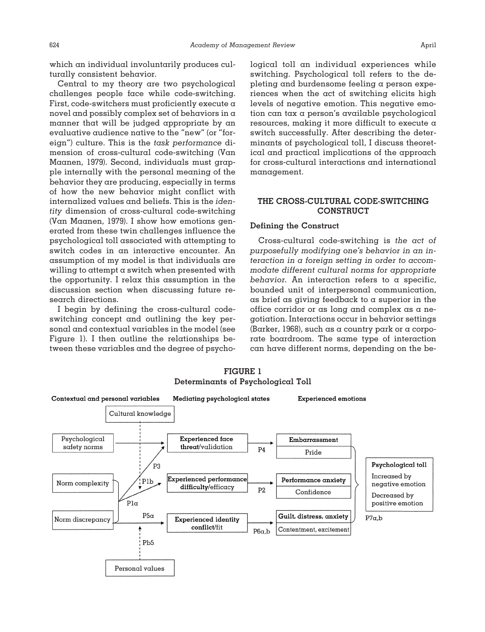which an individual involuntarily produces culturally consistent behavior.

Central to my theory are two psychological challenges people face while code-switching. First, code-switchers must proficiently execute  $\alpha$ novel and possibly complex set of behaviors in a manner that will be judged appropriate by an evaluative audience native to the "new" (or "foreign") culture. This is the *task performance* dimension of cross-cultural code-switching (Van Maanen, 1979). Second, individuals must grapple internally with the personal meaning of the behavior they are producing, especially in terms of how the new behavior might conflict with internalized values and beliefs. This is the *identity* dimension of cross-cultural code-switching (Van Maanen, 1979). I show how emotions generated from these twin challenges influence the psychological toll associated with attempting to switch codes in an interactive encounter. An assumption of my model is that individuals are willing to attempt a switch when presented with the opportunity. I relax this assumption in the discussion section when discussing future research directions.

I begin by defining the cross-cultural codeswitching concept and outlining the key personal and contextual variables in the model (see Figure 1). I then outline the relationships between these variables and the degree of psychological toll an individual experiences while switching. Psychological toll refers to the depleting and burdensome feeling a person experiences when the act of switching elicits high levels of negative emotion. This negative emotion can tax a person's available psychological resources, making it more difficult to execute a switch successfully. After describing the determinants of psychological toll, I discuss theoretical and practical implications of the approach for cross-cultural interactions and international management.

## **THE CROSS-CULTURAL CODE-SWITCHING CONSTRUCT**

# **Defining the Construct**

Cross-cultural code-switching is *the act of purposefully modifying one's behavior in an interaction in a foreign setting in order to accommodate different cultural norms for appropriate behavior.* An interaction refers to a specific, bounded unit of interpersonal communication, as brief as giving feedback to a superior in the office corridor or as long and complex as a negotiation. Interactions occur in behavior settings (Barker, 1968), such as a country park or a corporate boardroom. The same type of interaction can have different norms, depending on the be-



**FIGURE 1 Determinants of Psychological Toll**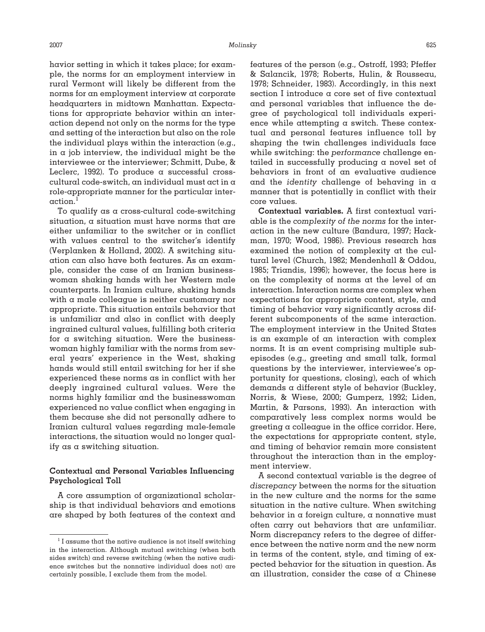havior setting in which it takes place; for example, the norms for an employment interview in rural Vermont will likely be different from the norms for an employment interview at corporate headquarters in midtown Manhattan. Expectations for appropriate behavior within an interaction depend not only on the norms for the type and setting of the interaction but also on the role the individual plays within the interaction (e.g., in  $\alpha$  job interview, the individual might be the interviewee or the interviewer; Schmitt, Dube, & Leclerc, 1992). To produce a successful crosscultural code-switch, an individual must act in a role-appropriate manner for the particular interaction.1

To qualify as a cross-cultural code-switching situation, a situation must have norms that are either unfamiliar to the switcher or in conflict with values central to the switcher's identify (Verplanken & Holland, 2002). A switching situation can also have both features. As an example, consider the case of an Iranian businesswoman shaking hands with her Western male counterparts. In Iranian culture, shaking hands with a male colleague is neither customary nor appropriate. This situation entails behavior that is unfamiliar and also in conflict with deeply ingrained cultural values, fulfilling both criteria for a switching situation. Were the businesswoman highly familiar with the norms from several years' experience in the West, shaking hands would still entail switching for her if she experienced these norms as in conflict with her deeply ingrained cultural values. Were the norms highly familiar and the businesswoman experienced no value conflict when engaging in them because she did not personally adhere to Iranian cultural values regarding male-female interactions, the situation would no longer qualify as a switching situation.

# **Contextual and Personal Variables Influencing Psychological Toll**

A core assumption of organizational scholarship is that individual behaviors and emotions are shaped by both features of the context and features of the person (e.g., Ostroff, 1993; Pfeffer & Salancik, 1978; Roberts, Hulin, & Rousseau, 1978; Schneider, 1983). Accordingly, in this next section I introduce a core set of five contextual and personal variables that influence the degree of psychological toll individuals experience while attempting a switch. These contextual and personal features influence toll by shaping the twin challenges individuals face while switching: the *performance* challenge entailed in successfully producing a novel set of behaviors in front of an evaluative audience and the *identity* challenge of behaving in a manner that is potentially in conflict with their core values.

**Contextual variables.** A first contextual variable is the *complexity of the norms* for the interaction in the new culture (Bandura, 1997; Hackman, 1970; Wood, 1986). Previous research has examined the notion of complexity at the cultural level (Church, 1982; Mendenhall & Oddou, 1985; Triandis, 1996); however, the focus here is on the complexity of norms at the level of an interaction. Interaction norms are complex when expectations for appropriate content, style, and timing of behavior vary significantly across different subcomponents of the same interaction. The employment interview in the United States is an example of an interaction with complex norms. It is an event comprising multiple subepisodes (e.g., greeting and small talk, formal questions by the interviewer, interviewee's opportunity for questions, closing), each of which demands a different style of behavior (Buckley, Norris, & Wiese, 2000; Gumperz, 1992; Liden, Martin, & Parsons, 1993). An interaction with comparatively less complex norms would be greeting a colleague in the office corridor. Here, the expectations for appropriate content, style, and timing of behavior remain more consistent throughout the interaction than in the employment interview.

A second contextual variable is the degree of *discrepancy* between the norms for the situation in the new culture and the norms for the same situation in the native culture. When switching behavior in a foreign culture, a nonnative must often carry out behaviors that are unfamiliar. Norm discrepancy refers to the degree of difference between the native norm and the new norm in terms of the content, style, and timing of expected behavior for the situation in question. As an illustration, consider the case of a Chinese

 $1$  I assume that the native audience is not itself switching in the interaction. Although mutual switching (when both sides switch) and reverse switching (when the native audience switches but the nonnative individual does not) are certainly possible, I exclude them from the model.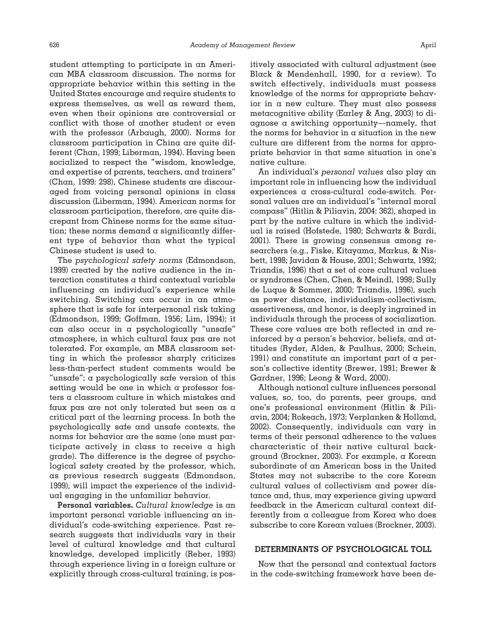student attempting to participate in an American MBA classroom discussion. The norms for appropriate behavior within this setting in the United States encourage and require students to express themselves, as well as reward them, even when their opinions are controversial or conflict with those of another student or even with the professor (Arbaugh, 2000). Norms for classroom participation in China are quite different (Chan, 1999; Liberman, 1994). Having been socialized to respect the "wisdom, knowledge, and expertise of parents, teachers, and trainers" (Chan, 1999: 298), Chinese students are discouraged from voicing personal opinions in class discussion (Liberman, 1994). American norms for classroom participation, therefore, are quite discrepant from Chinese norms for the same situation; these norms demand  $\alpha$  significantly different type of behavior than what the typical Chinese student is used to.

The *psychological safety norms* (Edmondson, 1999) created by the native audience in the interaction constitutes a third contextual variable influencing an individual's experience while switching. Switching can occur in an atmosphere that is safe for interpersonal risk taking (Edmondson, 1999; Goffman, 1956; Lim, 1994); it can also occur in a psychologically "unsafe" atmosphere, in which cultural faux pas are not tolerated. For example, an MBA classroom setting in which the professor sharply criticizes less-than-perfect student comments would be "unsafe"; a psychologically safe version of this setting would be one in which a professor fosters a classroom culture in which mistakes and faux pas are not only tolerated but seen as a critical part of the learning process. In both the psychologically safe and unsafe contexts, the norms for behavior are the same (one must participate actively in class to receive a high grade). The difference is the degree of psychological safety created by the professor, which, as previous research suggests (Edmondson, 1999), will impact the experience of the individual engaging in the unfamiliar behavior.

**Personal variables.** *Cultural knowledge* is an important personal variable influencing an individual's code-switching experience. Past research suggests that individuals vary in their level of cultural knowledge and that cultural knowledge, developed implicitly (Reber, 1993) through experience living in a foreign culture or explicitly through cross-cultural training, is positively associated with cultural adjustment (see Black & Mendenhall, 1990, for a review). To switch effectively, individuals must possess knowledge of the norms for appropriate behavior in a new culture. They must also possess metacognitive ability (Earley & Ang, 2003) to diagnose a switching opportunity—namely, that the norms for behavior in a situation in the new culture are different from the norms for appropriate behavior in that same situation in one's native culture.

An individual's *personal values* also play an important role in influencing how the individual experiences a cross-cultural code-switch. Personal values are an individual's "internal moral compass" (Hitlin & Piliavin, 2004: 362), shaped in part by the native culture in which the individual is raised (Hofstede, 1980; Schwartz & Bardi, 2001). There is growing consensus among researchers (e.g., Fiske, Kitayama, Markus, & Nisbett, 1998; Javidan & House, 2001; Schwartz, 1992; Triandis, 1996) that a set of core cultural values or syndromes (Chen, Chen, & Meindl, 1998; Sully de Luque & Sommer, 2000; Triandis, 1996), such as power distance, individualism-collectivism, assertiveness, and honor, is deeply ingrained in individuals through the process of socialization. These core values are both reflected in and reinforced by a person's behavior, beliefs, and attitudes (Ryder, Alden, & Paulhus, 2000; Schein, 1991) and constitute an important part of a person's collective identity (Brewer, 1991; Brewer & Gardner, 1996; Leong & Ward, 2000).

Although national culture influences personal values, so, too, do parents, peer groups, and one's professional environment (Hitlin & Piliavin, 2004; Rokeach, 1973; Verplanken & Holland, 2002). Consequently, individuals can vary in terms of their personal adherence to the values characteristic of their native cultural background (Brockner, 2003). For example, a Korean subordinate of an American boss in the United States may not subscribe to the core Korean cultural values of collectivism and power distance and, thus, may experience giving upward feedback in the American cultural context differently from a colleague from Korea who does subscribe to core Korean values (Brockner, 2003).

### **DETERMINANTS OF PSYCHOLOGICAL TOLL**

Now that the personal and contextual factors in the code-switching framework have been de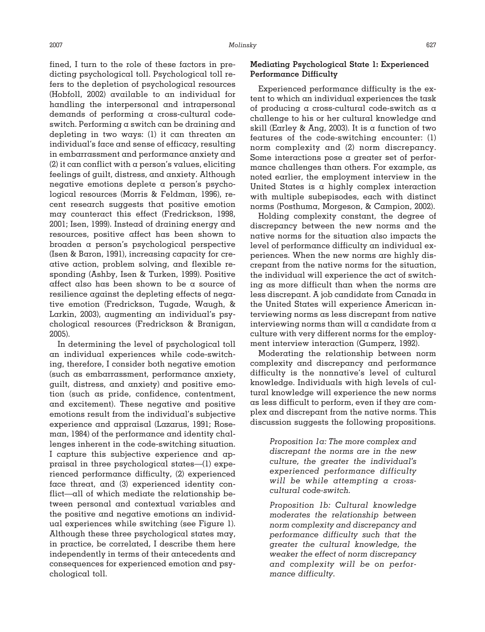fined, I turn to the role of these factors in predicting psychological toll. Psychological toll refers to the depletion of psychological resources (Hobfoll, 2002) available to an individual for handling the interpersonal and intrapersonal demands of performing a cross-cultural codeswitch. Performing a switch can be draining and depleting in two ways: (1) it can threaten an individual's face and sense of efficacy, resulting in embarrassment and performance anxiety and  $(2)$  it can conflict with a person's values, eliciting feelings of guilt, distress, and anxiety. Although negative emotions deplete a person's psychological resources (Morris & Feldman, 1996), recent research suggests that positive emotion may counteract this effect (Fredrickson, 1998, 2001; Isen, 1999). Instead of draining energy and resources, positive affect has been shown to broaden a person's psychological perspective (Isen & Baron, 1991), increasing capacity for creative action, problem solving, and flexible responding (Ashby, Isen & Turken, 1999). Positive affect also has been shown to be a source of resilience against the depleting effects of negative emotion (Fredrickson, Tugade, Waugh, & Larkin, 2003), augmenting an individual's psychological resources (Fredrickson & Branigan, 2005).

In determining the level of psychological toll an individual experiences while code-switching, therefore, I consider both negative emotion (such as embarrassment, performance anxiety, guilt, distress, and anxiety) and positive emotion (such as pride, confidence, contentment, and excitement). These negative and positive emotions result from the individual's subjective experience and appraisal (Lazarus, 1991; Roseman, 1984) of the performance and identity challenges inherent in the code-switching situation. I capture this subjective experience and appraisal in three psychological states—(1) experienced performance difficulty, (2) experienced face threat, and (3) experienced identity conflict—all of which mediate the relationship between personal and contextual variables and the positive and negative emotions an individual experiences while switching (see Figure 1). Although these three psychological states may, in practice, be correlated, I describe them here independently in terms of their antecedents and consequences for experienced emotion and psychological toll.

# **Mediating Psychological State 1: Experienced Performance Difficulty**

Experienced performance difficulty is the extent to which an individual experiences the task of producing a cross-cultural code-switch as a challenge to his or her cultural knowledge and skill (Earley & Ang, 2003). It is a function of two features of the code-switching encounter: (1) norm complexity and (2) norm discrepancy. Some interactions pose a greater set of performance challenges than others. For example, as noted earlier, the employment interview in the United States is a highly complex interaction with multiple subepisodes, each with distinct norms (Posthuma, Morgeson, & Campion, 2002).

Holding complexity constant, the degree of discrepancy between the new norms and the native norms for the situation also impacts the level of performance difficulty an individual experiences. When the new norms are highly discrepant from the native norms for the situation, the individual will experience the act of switching as more difficult than when the norms are less discrepant. A job candidate from Canada in the United States will experience American interviewing norms as less discrepant from native interviewing norms than will a candidate from  $\alpha$ culture with very different norms for the employment interview interaction (Gumperz, 1992).

Moderating the relationship between norm complexity and discrepancy and performance difficulty is the nonnative's level of cultural knowledge. Individuals with high levels of cultural knowledge will experience the new norms as less difficult to perform, even if they are complex and discrepant from the native norms. This discussion suggests the following propositions.

> *Proposition 1a: The more complex and discrepant the norms are in the new culture, the greater the individual's experienced performance difficulty will be while attempting a crosscultural code-switch.*

> *Proposition 1b: Cultural knowledge moderates the relationship between norm complexity and discrepancy and performance difficulty such that the greater the cultural knowledge, the weaker the effect of norm discrepancy and complexity will be on performance difficulty.*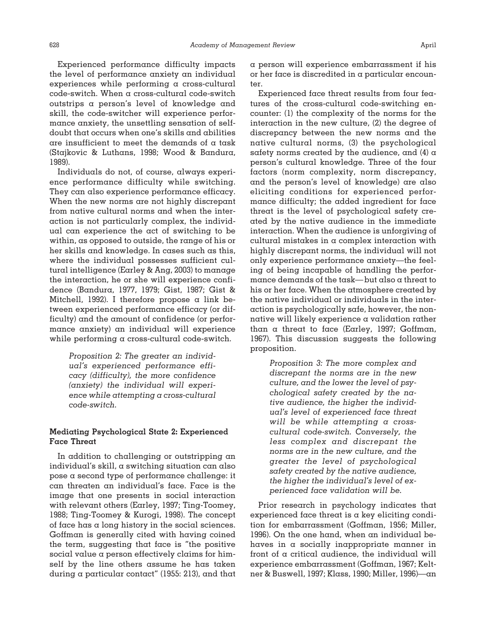Experienced performance difficulty impacts the level of performance anxiety an individual experiences while performing a cross-cultural code-switch. When a cross-cultural code-switch outstrips a person's level of knowledge and skill, the code-switcher will experience performance anxiety, the unsettling sensation of selfdoubt that occurs when one's skills and abilities are insufficient to meet the demands of a task (Stajkovic & Luthans, 1998; Wood & Bandura, 1989).

Individuals do not, of course, always experience performance difficulty while switching. They can also experience performance efficacy. When the new norms are not highly discrepant from native cultural norms and when the interaction is not particularly complex, the individual can experience the act of switching to be within, as opposed to outside, the range of his or her skills and knowledge. In cases such as this, where the individual possesses sufficient cultural intelligence (Earley & Ang, 2003) to manage the interaction, he or she will experience confidence (Bandura, 1977, 1979; Gist, 1987; Gist & Mitchell, 1992). I therefore propose a link between experienced performance efficacy (or difficulty) and the amount of confidence (or performance anxiety) an individual will experience while performing a cross-cultural code-switch.

> *Proposition 2: The greater an individual's experienced performance efficacy (difficulty), the more confidence (anxiety) the individual will experience while attempting a cross-cultural code-switch.*

# **Mediating Psychological State 2: Experienced Face Threat**

In addition to challenging or outstripping an individual's skill, a switching situation can also pose a second type of performance challenge: it can threaten an individual's face. Face is the image that one presents in social interaction with relevant others (Earley, 1997; Ting-Toomey, 1988; Ting-Toomey & Kurogi, 1998). The concept of face has a long history in the social sciences. Goffman is generally cited with having coined the term, suggesting that face is "the positive social value a person effectively claims for himself by the line others assume he has taken during a particular contact" (1955: 213), and that

a person will experience embarrassment if his or her face is discredited in a particular encounter.

Experienced face threat results from four features of the cross-cultural code-switching encounter: (1) the complexity of the norms for the interaction in the new culture, (2) the degree of discrepancy between the new norms and the native cultural norms, (3) the psychological safety norms created by the audience, and  $(4)$  a person's cultural knowledge. Three of the four factors (norm complexity, norm discrepancy, and the person's level of knowledge) are also eliciting conditions for experienced performance difficulty; the added ingredient for face threat is the level of psychological safety created by the native audience in the immediate interaction. When the audience is unforgiving of cultural mistakes in a complex interaction with highly discrepant norms, the individual will not only experience performance anxiety—the feeling of being incapable of handling the performance demands of the task—but also a threat to his or her face. When the atmosphere created by the native individual or individuals in the interaction is psychologically safe, however, the nonnative will likely experience a validation rather than a threat to face (Earley, 1997; Goffman, 1967). This discussion suggests the following proposition.

*Proposition 3: The more complex and discrepant the norms are in the new culture, and the lower the level of psychological safety created by the native audience, the higher the individual's level of experienced face threat will be while attempting a crosscultural code-switch. Conversely, the less complex and discrepant the norms are in the new culture, and the greater the level of psychological safety created by the native audience, the higher the individual's level of experienced face validation will be.*

Prior research in psychology indicates that experienced face threat is a key eliciting condition for embarrassment (Goffman, 1956; Miller, 1996). On the one hand, when an individual behaves in a socially inappropriate manner in front of a critical audience, the individual will experience embarrassment (Goffman, 1967; Keltner & Buswell, 1997; Klass, 1990; Miller, 1996)—an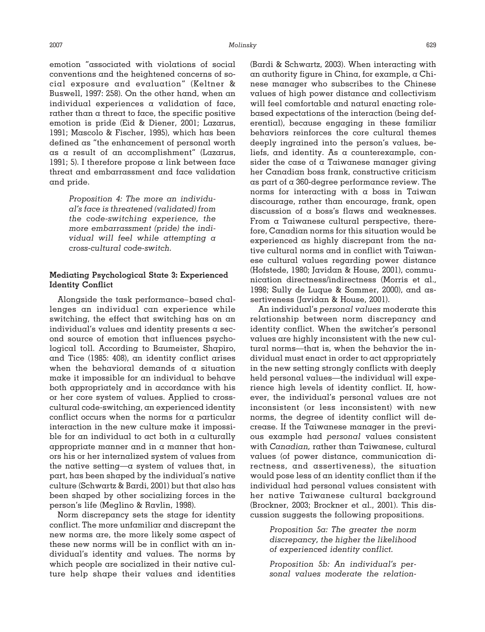emotion "associated with violations of social conventions and the heightened concerns of social exposure and evaluation" (Keltner & Buswell, 1997: 258). On the other hand, when an individual experiences a validation of face, rather than a threat to face, the specific positive emotion is pride (Eid & Diener, 2001; Lazarus, 1991; Mascolo & Fischer, 1995), which has been defined as "the enhancement of personal worth as a result of an accomplishment" (Lazarus, 1991; 5). I therefore propose  $\alpha$  link between face threat and embarrassment and face validation and pride.

> *Proposition 4: The more an individual's face is threatened (validated) from the code-switching experience, the more embarrassment (pride) the individual will feel while attempting a cross-cultural code-switch.*

## **Mediating Psychological State 3: Experienced Identity Conflict**

Alongside the task performance–based challenges an individual can experience while switching, the effect that switching has on an individual's values and identity presents a second source of emotion that influences psychological toll. According to Baumeister, Shapiro, and Tice (1985: 408), an identity conflict arises when the behavioral demands of a situation make it impossible for an individual to behave both appropriately and in accordance with his or her core system of values. Applied to crosscultural code-switching, an experienced identity conflict occurs when the norms for a particular interaction in the new culture make it impossible for an individual to act both in a culturally appropriate manner and in a manner that honors his or her internalized system of values from the native setting— $\alpha$  system of values that, in part, has been shaped by the individual's native culture (Schwartz & Bardi, 2001) but that also has been shaped by other socializing forces in the person's life (Meglino & Ravlin, 1998).

Norm discrepancy sets the stage for identity conflict. The more unfamiliar and discrepant the new norms are, the more likely some aspect of these new norms will be in conflict with an individual's identity and values. The norms by which people are socialized in their native culture help shape their values and identities

(Bardi & Schwartz, 2003). When interacting with an authority figure in China, for example, a Chinese manager who subscribes to the Chinese values of high power distance and collectivism will feel comfortable and natural enacting rolebased expectations of the interaction (being deferential), because engaging in these familiar behaviors reinforces the core cultural themes deeply ingrained into the person's values, beliefs, and identity. As a counterexample, consider the case of a Taiwanese manager giving her Canadian boss frank, constructive criticism as part of a 360-degree performance review. The norms for interacting with a boss in Taiwan discourage, rather than encourage, frank, open discussion of a boss's flaws and weaknesses. From a Taiwanese cultural perspective, therefore, Canadian norms for this situation would be experienced as highly discrepant from the native cultural norms and in conflict with Taiwanese cultural values regarding power distance (Hofstede, 1980; Javidan & House, 2001), communication directness/indirectness (Morris et al., 1998; Sully de Luque & Sommer, 2000), and assertiveness (Javidan & House, 2001).

An individual's *personal values* moderate this relationship between norm discrepancy and identity conflict. When the switcher's personal values are highly inconsistent with the new cultural norms—that is, when the behavior the individual must enact in order to act appropriately in the new setting strongly conflicts with deeply held personal values—the individual will experience high levels of identity conflict. If, however, the individual's personal values are not inconsistent (or less inconsistent) with new norms, the degree of identity conflict will decrease. If the Taiwanese manager in the previous example had *personal* values consistent with *Canadian,* rather than Taiwanese, cultural values (of power distance, communication directness, and assertiveness), the situation would pose less of an identity conflict than if the individual had personal values consistent with her native Taiwanese cultural background (Brockner, 2003; Brockner et al., 2001). This discussion suggests the following propositions.

> *Proposition 5a: The greater the norm discrepancy, the higher the likelihood of experienced identity conflict.*

> *Proposition 5b: An individual's personal values moderate the relation-*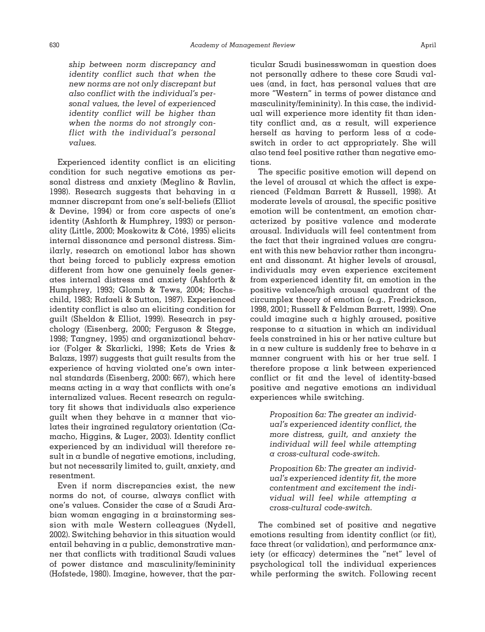*ship between norm discrepancy and identity conflict such that when the new norms are not only discrepant but also conflict with the individual's personal values, the level of experienced identity conflict will be higher than when the norms do not strongly conflict with the individual's personal values.*

Experienced identity conflict is an eliciting condition for such negative emotions as personal distress and anxiety (Meglino & Ravlin, 1998). Research suggests that behaving in a manner discrepant from one's self-beliefs (Elliot & Devine, 1994) or from core aspects of one's identity (Ashforth & Humphrey, 1993) or personality (Little, 2000; Moskowitz & Côté, 1995) elicits internal dissonance and personal distress. Similarly, research on emotional labor has shown that being forced to publicly express emotion different from how one genuinely feels generates internal distress and anxiety (Ashforth & Humphrey, 1993; Glomb & Tews, 2004; Hochschild, 1983; Rafaeli & Sutton, 1987). Experienced identity conflict is also an eliciting condition for guilt (Sheldon & Elliot, 1999). Research in psychology (Eisenberg, 2000; Ferguson & Stegge, 1998; Tangney, 1995) and organizational behavior (Folger & Skarlicki, 1998; Kets de Vries & Balazs, 1997) suggests that guilt results from the experience of having violated one's own internal standards (Eisenberg, 2000: 667), which here means acting in a way that conflicts with one's internalized values. Recent research on regulatory fit shows that individuals also experience guilt when they behave in a manner that violates their ingrained regulatory orientation (Camacho, Higgins, & Luger, 2003). Identity conflict experienced by an individual will therefore result in  $\alpha$  bundle of negative emotions, including, but not necessarily limited to, guilt, anxiety, and resentment.

Even if norm discrepancies exist, the new norms do not, of course, always conflict with one's values. Consider the case of a Saudi Arabian woman engaging in a brainstorming session with male Western colleagues (Nydell, 2002). Switching behavior in this situation would entail behaving in a public, demonstrative manner that conflicts with traditional Saudi values of power distance and masculinity/femininity (Hofstede, 1980). Imagine, however, that the particular Saudi businesswoman in question does not personally adhere to these core Saudi values (and, in fact, has personal values that are more "Western" in terms of power distance and masculinity/femininity). In this case, the individual will experience more identity fit than identity conflict and, as a result, will experience herself as having to perform less of a codeswitch in order to act appropriately. She will also tend feel positive rather than negative emotions.

The specific positive emotion will depend on the level of arousal at which the affect is experienced (Feldman Barrett & Russell, 1998). At moderate levels of arousal, the specific positive emotion will be contentment, an emotion characterized by positive valence and moderate arousal. Individuals will feel contentment from the fact that their ingrained values are congruent with this new behavior rather than incongruent and dissonant. At higher levels of arousal, individuals may even experience excitement from experienced identity fit, an emotion in the positive valence/high arousal quadrant of the circumplex theory of emotion (e.g., Fredrickson, 1998, 2001; Russell & Feldman Barrett, 1999). One could imagine such a highly aroused, positive response to a situation in which an individual feels constrained in his or her native culture but in  $\alpha$  new culture is suddenly free to behave in  $\alpha$ manner congruent with his or her true self. I therefore propose a link between experienced conflict or fit and the level of identity-based positive and negative emotions an individual experiences while switching.

> *Proposition 6a: The greater an individual's experienced identity conflict, the more distress, guilt, and anxiety the individual will feel while attempting a cross-cultural code-switch.*

> *Proposition 6b: The greater an individual's experienced identity fit, the more contentment and excitement the individual will feel while attempting a cross-cultural code-switch.*

The combined set of positive and negative emotions resulting from identity conflict (or fit), face threat (or validation), and performance anxiety (or efficacy) determines the "net" level of psychological toll the individual experiences while performing the switch. Following recent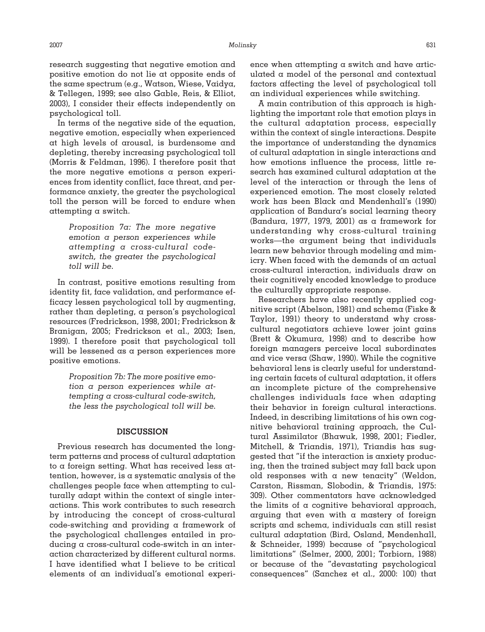research suggesting that negative emotion and positive emotion do not lie at opposite ends of the same spectrum (e.g., Watson, Wiese, Vaidya, & Tellegen, 1999; see also Gable, Reis, & Elliot, 2003), I consider their effects independently on psychological toll.

In terms of the negative side of the equation, negative emotion, especially when experienced at high levels of arousal, is burdensome and depleting, thereby increasing psychological toll (Morris & Feldman, 1996). I therefore posit that the more negative emotions a person experiences from identity conflict, face threat, and performance anxiety, the greater the psychological toll the person will be forced to endure when attempting a switch.

> *Proposition 7a: The more negative emotion a person experiences while attempting a cross-cultural codeswitch, the greater the psychological toll will be.*

In contrast, positive emotions resulting from identity fit, face validation, and performance efficacy lessen psychological toll by augmenting, rather than depleting, a person's psychological resources (Fredrickson, 1998, 2001; Fredrickson & Branigan, 2005; Fredrickson et al., 2003; Isen, 1999). I therefore posit that psychological toll will be lessened as a person experiences more positive emotions.

> *Proposition 7b: The more positive emotion a person experiences while attempting a cross-cultural code-switch, the less the psychological toll will be.*

#### **DISCUSSION**

Previous research has documented the longterm patterns and process of cultural adaptation to a foreign setting. What has received less attention, however, is a systematic analysis of the challenges people face when attempting to culturally adapt within the context of single interactions. This work contributes to such research by introducing the concept of cross-cultural code-switching and providing a framework of the psychological challenges entailed in producing a cross-cultural code-switch in an interaction characterized by different cultural norms. I have identified what I believe to be critical elements of an individual's emotional experience when attempting a switch and have articulated a model of the personal and contextual factors affecting the level of psychological toll an individual experiences while switching.

A main contribution of this approach is highlighting the important role that emotion plays in the cultural adaptation process, especially within the context of single interactions. Despite the importance of understanding the dynamics of cultural adaptation in single interactions and how emotions influence the process, little research has examined cultural adaptation at the level of the interaction or through the lens of experienced emotion. The most closely related work has been Black and Mendenhall's (1990) application of Bandura's social learning theory (Bandura, 1977, 1979, 2001) as a framework for understanding why cross-cultural training works—the argument being that individuals learn new behavior through modeling and mimicry. When faced with the demands of an actual cross-cultural interaction, individuals draw on their cognitively encoded knowledge to produce the culturally appropriate response.

Researchers have also recently applied cognitive script (Abelson, 1981) and schema (Fiske & Taylor, 1991) theory to understand why crosscultural negotiators achieve lower joint gains (Brett & Okumura, 1998) and to describe how foreign managers perceive local subordinates and vice versa (Shaw, 1990). While the cognitive behavioral lens is clearly useful for understanding certain facets of cultural adaptation, it offers an incomplete picture of the comprehensive challenges individuals face when adapting their behavior in foreign cultural interactions. Indeed, in describing limitations of his own cognitive behavioral training approach, the Cultural Assimilator (Bhawuk, 1998, 2001; Fiedler, Mitchell, & Triandis, 1971), Triandis has suggested that "if the interaction is anxiety producing, then the trained subject may fall back upon old responses with a new tenacity" (Weldon, Carston, Rissman, Slobodin, & Triandis, 1975: 309). Other commentators have acknowledged the limits of a cognitive behavioral approach, arguing that even with a mastery of foreign scripts and schema, individuals can still resist cultural adaptation (Bird, Osland, Mendenhall, & Schneider, 1999) because of "psychological limitations" (Selmer, 2000, 2001; Torbiorn, 1988) or because of the "devastating psychological consequences" (Sanchez et al., 2000: 100) that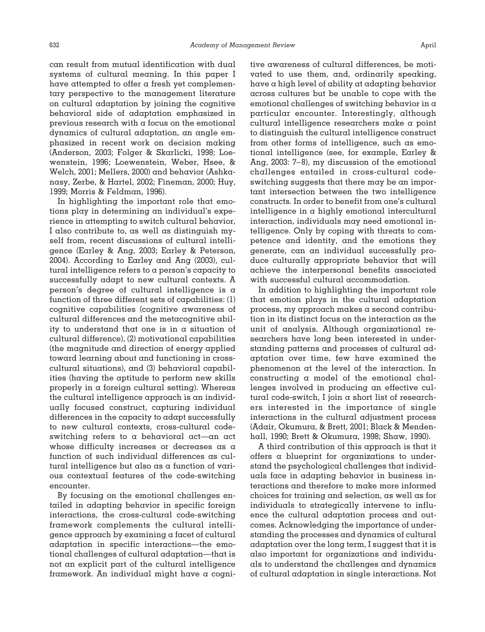can result from mutual identification with dual systems of cultural meaning. In this paper I have attempted to offer a fresh yet complementary perspective to the management literature on cultural adaptation by joining the cognitive behavioral side of adaptation emphasized in previous research with a focus on the emotional dynamics of cultural adaptation, an angle emphasized in recent work on decision making (Anderson, 2003; Folger & Skarlicki, 1998; Loewenstein, 1996; Loewenstein, Weber, Hsee, & Welch, 2001; Mellers, 2000) and behavior (Ashkanasy, Zerbe, & Hartel, 2002; Fineman, 2000; Huy, 1999; Morris & Feldman, 1996).

In highlighting the important role that emotions play in determining an individual's experience in attempting to switch cultural behavior, I also contribute to, as well as distinguish myself from, recent discussions of cultural intelligence (Earley & Ang, 2003; Earley & Peterson, 2004). According to Earley and Ang (2003), cultural intelligence refers to a person's capacity to successfully adapt to new cultural contexts. A person's degree of cultural intelligence is a function of three different sets of capabilities: (1) cognitive capabilities (cognitive awareness of cultural differences and the metacognitive ability to understand that one is in a situation of cultural difference), (2) motivational capabilities (the magnitude and direction of energy applied toward learning about and functioning in crosscultural situations), and (3) behavioral capabilities (having the aptitude to perform new skills properly in a foreign cultural setting). Whereas the cultural intelligence approach is an individually focused construct, capturing individual differences in the capacity to adapt successfully to new cultural contexts, cross-cultural codeswitching refers to a behavioral act—an act whose difficulty increases or decreases as a function of such individual differences as cultural intelligence but also as a function of various contextual features of the code-switching encounter.

By focusing on the emotional challenges entailed in adapting behavior in specific foreign interactions, the cross-cultural code-switching framework complements the cultural intelligence approach by examining a facet of cultural adaptation in specific interactions—the emotional challenges of cultural adaptation—that is not an explicit part of the cultural intelligence framework. An individual might have a cognitive awareness of cultural differences, be motivated to use them, and, ordinarily speaking, have a high level of ability at adapting behavior across cultures but be unable to cope with the emotional challenges of switching behavior in a particular encounter. Interestingly, although cultural intelligence researchers make a point to distinguish the cultural intelligence construct from other forms of intelligence, such as emotional intelligence (see, for example, Earley & Ang, 2003: 7– 8), my discussion of the emotional challenges entailed in cross-cultural codeswitching suggests that there may be an important intersection between the two intelligence constructs. In order to benefit from one's cultural intelligence in a highly emotional intercultural interaction, individuals may need emotional intelligence. Only by coping with threats to competence and identity, and the emotions they generate, can an individual successfully produce culturally appropriate behavior that will achieve the interpersonal benefits associated with successful cultural accommodation.

In addition to highlighting the important role that emotion plays in the cultural adaptation process, my approach makes a second contribution in its distinct focus on the interaction as the unit of analysis. Although organizational researchers have long been interested in understanding patterns and processes of cultural adaptation over time, few have examined the phenomenon at the level of the interaction. In constructing a model of the emotional challenges involved in producing an effective cultural code-switch, I join a short list of researchers interested in the importance of single interactions in the cultural adjustment process (Adair, Okumura, & Brett, 2001; Black & Mendenhall, 1990; Brett & Okumura, 1998; Shaw, 1990).

A third contribution of this approach is that it offers a blueprint for organizations to understand the psychological challenges that individuals face in adapting behavior in business interactions and therefore to make more informed choices for training and selection, as well as for individuals to strategically intervene to influence the cultural adaptation process and outcomes. Acknowledging the importance of understanding the processes and dynamics of cultural adaptation over the long term, I suggest that it is also important for organizations and individuals to understand the challenges and dynamics of cultural adaptation in single interactions. Not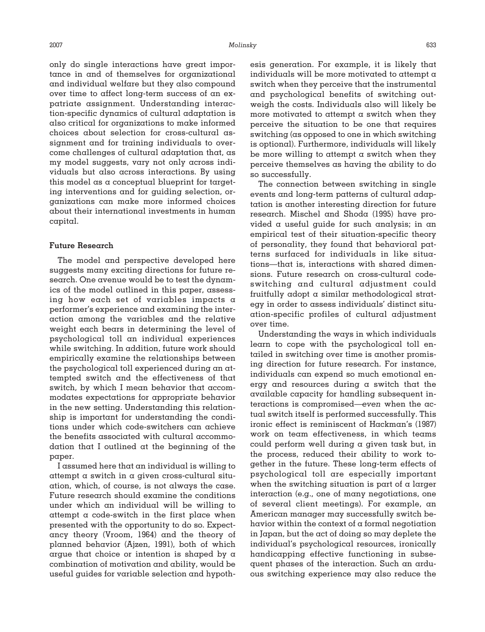only do single interactions have great importance in and of themselves for organizational and individual welfare but they also compound over time to affect long-term success of an expatriate assignment. Understanding interaction-specific dynamics of cultural adaptation is also critical for organizations to make informed choices about selection for cross-cultural assignment and for training individuals to overcome challenges of cultural adaptation that, as my model suggests, vary not only across individuals but also across interactions. By using this model as a conceptual blueprint for targeting interventions and for guiding selection, organizations can make more informed choices about their international investments in human capital.

#### **Future Research**

The model and perspective developed here suggests many exciting directions for future research. One avenue would be to test the dynamics of the model outlined in this paper, assessing how each set of variables impacts a performer's experience and examining the interaction among the variables and the relative weight each bears in determining the level of psychological toll an individual experiences while switching. In addition, future work should empirically examine the relationships between the psychological toll experienced during an attempted switch and the effectiveness of that switch, by which I mean behavior that accommodates expectations for appropriate behavior in the new setting. Understanding this relationship is important for understanding the conditions under which code-switchers can achieve the benefits associated with cultural accommodation that I outlined at the beginning of the paper.

I assumed here that an individual is willing to attempt a switch in a given cross-cultural situation, which, of course, is not always the case. Future research should examine the conditions under which an individual will be willing to attempt a code-switch in the first place when presented with the opportunity to do so. Expectancy theory (Vroom, 1964) and the theory of planned behavior (Ajzen, 1991), both of which argue that choice or intention is shaped by a combination of motivation and ability, would be useful guides for variable selection and hypothesis generation. For example, it is likely that individuals will be more motivated to attempt a switch when they perceive that the instrumental and psychological benefits of switching outweigh the costs. Individuals also will likely be more motivated to attempt a switch when they perceive the situation to be one that requires switching (as opposed to one in which switching is optional). Furthermore, individuals will likely be more willing to attempt  $\alpha$  switch when they perceive themselves as having the ability to do so successfully.

The connection between switching in single events and long-term patterns of cultural adaptation is another interesting direction for future research. Mischel and Shoda (1995) have provided a useful guide for such analysis; in an empirical test of their situation-specific theory of personality, they found that behavioral patterns surfaced for individuals in like situations—that is, interactions with shared dimensions. Future research on cross-cultural codeswitching and cultural adjustment could fruitfully adopt a similar methodological strategy in order to assess individuals' distinct situation-specific profiles of cultural adjustment over time.

Understanding the ways in which individuals learn to cope with the psychological toll entailed in switching over time is another promising direction for future research. For instance, individuals can expend so much emotional energy and resources during a switch that the available capacity for handling subsequent interactions is compromised—*even* when the actual switch itself is performed successfully. This ironic effect is reminiscent of Hackman's (1987) work on team effectiveness, in which teams could perform well during a given task but, in the process, reduced their ability to work together in the future. These long-term effects of psychological toll are especially important when the switching situation is part of a larger interaction (e.g., one of many negotiations, one of several client meetings). For example, an American manager may successfully switch behavior within the context of  $\alpha$  formal negotiation in Japan, but the act of doing so may deplete the individual's psychological resources, ironically handicapping effective functioning in subsequent phases of the interaction. Such an arduous switching experience may also reduce the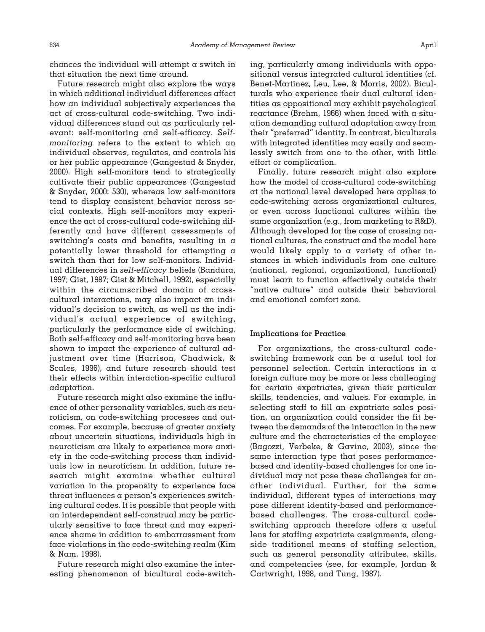chances the individual will attempt a switch in that situation the next time around.

Future research might also explore the ways in which additional individual differences affect how an individual subjectively experiences the act of cross-cultural code-switching. Two individual differences stand out as particularly relevant: self-monitoring and self-efficacy. *Selfmonitoring* refers to the extent to which an individual observes, regulates, and controls his or her public appearance (Gangestad & Snyder, 2000). High self-monitors tend to strategically cultivate their public appearances (Gangestad & Snyder, 2000: 530), whereas low self-monitors tend to display consistent behavior across social contexts. High self-monitors may experience the act of cross-cultural code-switching differently and have different assessments of switching's costs and benefits, resulting in a potentially lower threshold for attempting a switch than that for low self-monitors. Individual differences in *self-efficacy* beliefs (Bandura, 1997; Gist, 1987; Gist & Mitchell, 1992), especially within the circumscribed domain of crosscultural interactions, may also impact an individual's decision to switch, as well as the individual's actual experience of switching, particularly the performance side of switching. Both self-efficacy and self-monitoring have been shown to impact the experience of cultural adjustment over time (Harrison, Chadwick, & Scales, 1996), and future research should test their effects within interaction-specific cultural adaptation.

Future research might also examine the influence of other personality variables, such as neuroticism, on code-switching processes and outcomes. For example, because of greater anxiety about uncertain situations, individuals high in neuroticism are likely to experience more anxiety in the code-switching process than individuals low in neuroticism. In addition, future research might examine whether cultural variation in the propensity to experience face threat influences a person's experiences switching cultural codes. It is possible that people with an interdependent self-construal may be particularly sensitive to face threat and may experience shame in addition to embarrassment from face violations in the code-switching realm (Kim & Nam, 1998).

Future research might also examine the interesting phenomenon of bicultural code-switching, particularly among individuals with oppositional versus integrated cultural identities (cf. Benet-Martinez, Leu, Lee, & Morris, 2002). Biculturals who experience their dual cultural identities as oppositional may exhibit psychological reactance (Brehm, 1966) when faced with a situation demanding cultural adaptation away from their "preferred" identity. In contrast, biculturals with integrated identities may easily and seamlessly switch from one to the other, with little effort or complication.

Finally, future research might also explore how the model of cross-cultural code-switching at the national level developed here applies to code-switching across organizational cultures, or even across functional cultures within the same organization (e.g., from marketing to R&D). Although developed for the case of crossing national cultures, the construct and the model here would likely apply to a variety of other instances in which individuals from one culture (national, regional, organizational, functional) must learn to function effectively outside their "native culture" and outside their behavioral and emotional comfort zone.

#### **Implications for Practice**

For organizations, the cross-cultural codeswitching framework can be a useful tool for personnel selection. Certain interactions in a foreign culture may be more or less challenging for certain expatriates, given their particular skills, tendencies, and values. For example, in selecting staff to fill an expatriate sales position, an organization could consider the fit between the demands of the interaction in the new culture and the characteristics of the employee (Bagozzi, Verbeke, & Gavino, 2003), since the same interaction type that poses performancebased and identity-based challenges for one individual may not pose these challenges for another individual. Further, for the same individual, different types of interactions may pose different identity-based and performancebased challenges. The cross-cultural codeswitching approach therefore offers a useful lens for staffing expatriate assignments, alongside traditional means of staffing selection, such as general personality attributes, skills, and competencies (see, for example, Jordan & Cartwright, 1998, and Tung, 1987).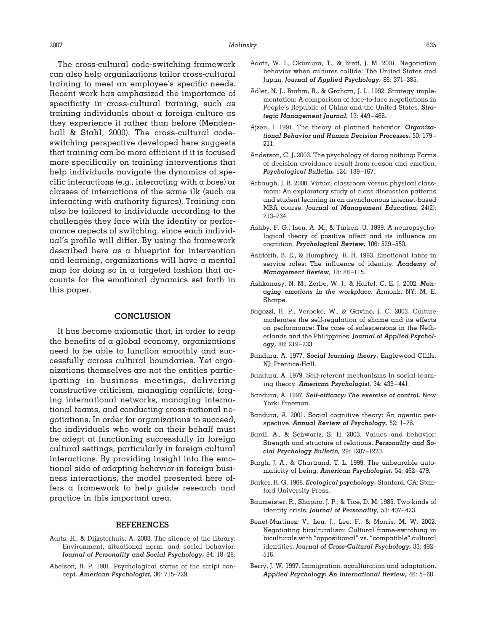The cross-cultural code-switching framework can also help organizations tailor cross-cultural training to meet an employee's specific needs. Recent work has emphasized the importance of specificity in cross-cultural training, such as training individuals about a foreign culture as they experience it rather than before (Mendenhall & Stahl, 2000). The cross-cultural codeswitching perspective developed here suggests that training can be more efficient if it is focused more specifically on training interventions that help individuals navigate the dynamics of specific interactions (e.g., interacting with  $\alpha$  boss) or classes of interactions of the same ilk (such as interacting with authority figures). Training can also be tailored to individuals according to the challenges they face with the identity or performance aspects of switching, since each individual's profile will differ. By using the framework described here as a blueprint for intervention and learning, organizations will have a mental map for doing so in a targeted fashion that accounts for the emotional dynamics set forth in this paper.

## **CONCLUSION**

It has become axiomatic that, in order to reap the benefits of a global economy, organizations need to be able to function smoothly and successfully across cultural boundaries. Yet organizations themselves are not the entities participating in business meetings, delivering constructive criticism, managing conflicts, forging international networks, managing international teams, and conducting cross-national negotiations. In order for organizations to succeed, the individuals who work on their behalf must be adept at functioning successfully in foreign cultural settings, particularly in foreign cultural interactions. By providing insight into the emotional side of adapting behavior in foreign business interactions, the model presented here offers a framework to help guide research and practice in this important area.

#### **REFERENCES**

- Aarts, H., & Dijksterhuis, A. 2003. The silence of the library: Environment, situational norm, and social behavior. *Journal of Personality and Social Psychology,* 84: 18 –28.
- Abelson, R. P. 1981. Psychological status of the script concept. *American Psychologist,* 36: 715–729.
- Adair, W. L, Okumura, T., & Brett, J. M. 2001. Negotiation behavior when cultures collide: The United States and Japan. *Journal of Applied Psychology,* 86: 371–385.
- Adler, N. J., Brahm, R., & Graham, J. L. 1992. Strategy implementation: A comparison of face-to-face negotiations in People's Republic of China and the United States. *Strategic Management Journal,* 13: 449 – 466.
- Ajzen, I. 1991. The theory of planned behavior. *Organizational Behavior and Human Decision Processes,* 50: 179 – 211.
- Anderson, C. J. 2003. The psychology of doing nothing: Forms of decision avoidance result from reason and emotion. *Psychological Bulletin,* 124: 139 –167.
- Arbaugh, J. B. 2000. Virtual classroom versus physical classroom: An exploratory study of class discussion patterns and student learning in an asynchronous internet-based MBA course. *Journal of Management Education,* 24(2): 213–234.
- Ashby, F. G., Isen, A. M., & Turken, U. 1999. A neuropsychological theory of positive affect and its influence on cognition. *Psychological Review,* 106: 529 –550.
- Ashforth, B. E., & Humphrey, R. H. 1993. Emotional labor in service roles: The influence of identity. *Academy of Management Review,* 18: 88 –115.
- Ashkanasy, N. M., Zerbe, W. J., & Hartel, C. E. J. 2002. *Managing emotions in the workplace.* Armonk, NY: M. E. Sharpe.
- Bagozzi, R. P., Verbeke, W., & Gavino, J. C. 2003. Culture moderates the self-regulation of shame and its effects on performance: The case of salespersons in the Netherlands and the Philippines. *Journal of Applied Psychology,* 88: 219 –233.
- Bandura, A. 1977. *Social learning theory.* Englewood Cliffs, NJ: Prentice-Hall.
- Bandura, A. 1979. Self-referent mechanisms in social learning theory. *American Psychologist,* 34: 439 – 441.
- Bandura, A. 1997. *Self-efficacy: The exercise of control.* New York: Freeman.
- Bandura, A. 2001. Social cognitive theory: An agentic perspective. *Annual Review of Psychology,* 52: 1–26.
- Bardi, A., & Schwartz, S. H. 2003. Values and behavior: Strength and structure of relations. *Personality and Social Psychology Bulletin,* 29: 1207–1220.
- Bargh, J. A., & Chartrand, T. L. 1999. The unbearable automaticity of being. *American Psychologist,* 54: 462– 479.
- Barker, R. G. 1968. *Ecological psychology.* Stanford, CA: Stanford University Press.
- Baumeister, R., Shapiro, J. P., & Tice, D. M. 1985. Two kinds of identity crisis. *Journal of Personality*, 53: 407-423.
- Benet-Martinez, V., Leu, J., Lee, F., & Morris, M. W. 2002. Negotiating biculturalism: Cultural frame-switching in biculturals with "oppositional" vs. "compatible" cultural identities. *Journal of Cross-Cultural Psychology,* 33: 492– 516.
- Berry, J. W. 1997. Immigration, acculturation and adaptation. *Applied Psychology: An International Review,* 46: 5– 68.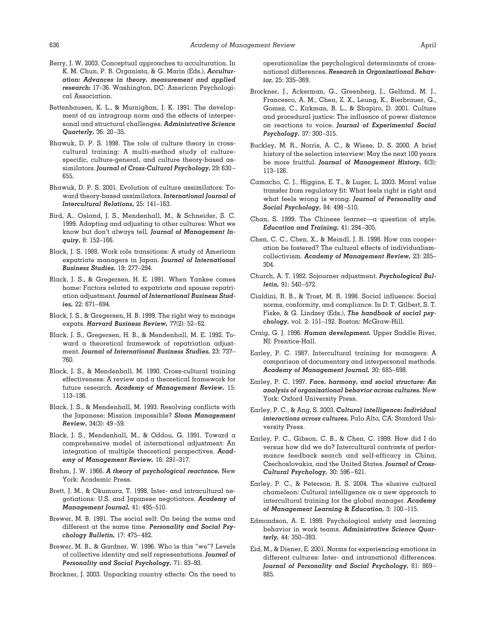- Berry, J. W. 2003. Conceptual approaches to acculturation. In K. M. Chun, P. B. Organista, & G. Marin (Eds.), *Acculturation: Advances in theory, measurement and applied research:* 17–36. Washington, DC: American Psychological Association.
- Bettenhausen, K. L., & Murnighan, J. K. 1991. The development of an intragroup norm and the effects of interpersonal and structural challenges. *Administrative Science Quarterly,* 36: 20 –35.
- Bhawuk, D. P. S. 1998. The role of culture theory in crosscultural training: A multi-method study of culturespecific, culture-general, and culture theory-based assimilators. *Journal of Cross-Cultural Psychology,* 29: 630 – 655.
- Bhawuk, D. P. S. 2001. Evolution of culture assimilators: Toward theory-based assimilators. *International Journal of Intercultural Relations,* 25: 141–163.
- Bird, A., Osland, J. S., Mendenhall, M., & Schneider, S. C. 1999. Adapting and adjusting to other cultures: What we know but don't always tell. *Journal of Management Inquiry,* 8: 152–166.
- Black, J. S. 1988. Work role transitions: A study of American expatriate managers in Japan. *Journal of International Business Studies,* 19: 277–294.
- Black, J. S., & Gregersen, H. E. 1991. When Yankee comes home: Factors related to expatriate and spouse repatriation adjustment. *Journal of International Business Stud*ies, 22: 671-694.
- Black, J. S., & Gregersen, H. B. 1999. The right way to manage expats. *Harvard Business Review,* 77(2): 52– 62.
- Black, J. S., Gregersen, H. B., & Mendenhall, M. E. 1992. Toward a theoretical framework of repatriation adjustment. *Journal of International Business Studies,* 23: 737– 760.
- Black, J. S., & Mendenhall, M. 1990. Cross-cultural training effectiveness: A review and a theoretical framework for future research. *Academy of Management Review,* 15: 113–136.
- Black, J. S., & Mendenhall, M. 1993. Resolving conflicts with the Japanese: Mission impossible? *Sloan Management Review,* 34(3): 49 –59.
- Black, J. S., Mendenhall, M., & Oddou, G. 1991. Toward a comprehensive model of international adjustment: An integration of multiple theoretical perspectives. *Academy of Management Review,* 16: 291–317.
- Brehm, J. W. 1966. *A theory of psychological reactance.* New York: Academic Press.
- Brett, J. M., & Okumura, T. 1998. Inter- and intracultural negotiations: U.S. and Japanese negotiators. *Academy of Management Journal,* 41: 495–510.
- Brewer, M. B. 1991. The social self: On being the same and different at the same time. *Personality and Social Psychology Bulletin,* 17: 475– 482.
- Brewer, M. B., & Gardner, W. 1996. Who is this "we"? Levels of collective identity and self representations. *Journal of Personality and Social Psychology,* 71: 83–93.
- Brockner, J. 2003. Unpacking country effects: On the need to

operationalize the psychological determinants of crossnational differences. *Research in Organizational Behavior,* 25: 335–369.

- Brockner, J., Ackerman, G., Greenberg, J., Gelfand, M. J., Francesco, A. M., Chen, Z. X., Leung, K., Bierbrauer, G., Gomez, C., Kirkman, B. L., & Shapiro, D. 2001. Culture and procedural justice: The influence of power distance on reactions to voice. *Journal of Experimental Social Psychology,* 37: 300 –315.
- Buckley, M. R., Norris, A. C., & Wiese, D. S. 2000. A brief history of the selection interview: May the next 100 years be more fruitful. *Journal of Management History,* 6(3): 113–126.
- Camacho, C. J., Higgins, E. T., & Luger, L. 2003. Moral value transfer from regulatory fit: What feels right is right and what feels wrong is wrong. *Journal of Personality and Social Psychology,* 84: 498 –510.
- Chan, S. 1999. The Chinese learner—a question of style. *Education and Training,* 41: 294 –305.
- Chen, C. C., Chen, X., & Meindl, J. R. 1998. How can cooperation be fostered? The cultural effects of individualismcollectivism. *Academy of Management Review,* 23: 285– 304.
- Church, A. T. 1982. Sojourner adjustment. *Psychological Bulletin,* 91: 540 –572.
- Cialdini, R. B., & Trost, M. R. 1998. Social influence: Social norms, conformity, and compliance. In D. T. Gilbert, S. T. Fiske, & G. Lindzey (Eds.), *The handbook of social psychology,* vol. 2: 151–192. Boston: McGraw-Hill.
- Craig, G. J. 1996. *Human development.* Upper Saddle River, NJ: Prentice-Hall.
- Earley, P. C. 1987. Intercultural training for managers: A comparison of documentary and interpersonal methods. *Academy of Management Journal,* 30: 685– 698.
- Earley, P. C. 1997. *Face, harmony, and social structure: An analysis of organizational behavior across cultures.* New York: Oxford University Press.
- Earley, P. C., & Ang, S. 2003. *Cultural intelligence: Individual interactions across cultures.* Palo Alto, CA: Stanford University Press.
- Earley, P. C., Gibson, C. B., & Chen, C. 1999. How did I do versus how did we do? Intercultural contrasts of performance feedback search and self-efficacy in China, Czechoslovakia, and the United States. *Journal of Cross-Cultural Psychology,* 30: 596 – 621.
- Earley, P. C., & Peterson, R. S. 2004. The elusive cultural chameleon: Cultural intelligence as a new approach to intercultural training for the global manager. *Academy of Management Learning & Education,* 3: 100 –115.
- Edmondson, A. E. 1999. Psychological safety and learning behavior in work teams. *Administrative Science Quarterly,* 44: 350 –383.
- Eid, M., & Diener, E. 2001. Norms for experiencing emotions in different cultures: Inter- and intranational differences. *Journal of Personality and Social Psychology,* 81: 869 – 885.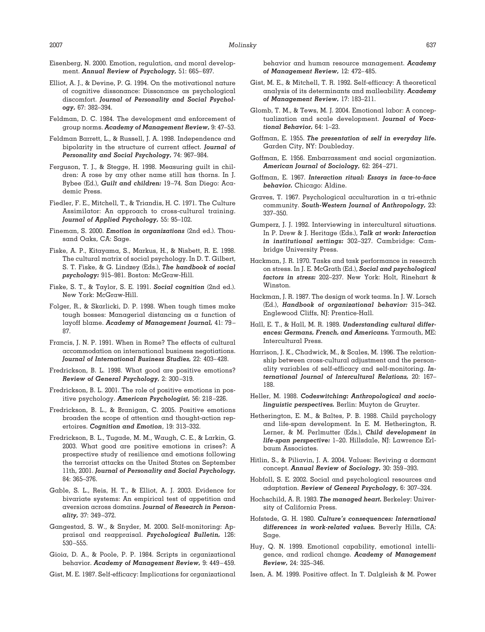- Eisenberg, N. 2000. Emotion, regulation, and moral development. *Annual Review of Psychology,* 51: 665– 697.
- Elliot, A. J., & Devine, P. G. 1994. On the motivational nature of cognitive dissonance: Dissonance as psychological discomfort. *Journal of Personality and Social Psychology,* 67: 382–394.
- Feldman, D. C. 1984. The development and enforcement of group norms. *Academy of Management Review,* 9: 47–53.
- Feldman Barrett, L., & Russell, J. A. 1998. Independence and bipolarity in the structure of current affect. *Journal of Personality and Social Psychology,* 74: 967–984.
- Ferguson, T. J., & Stegge, H. 1998. Measuring guilt in children: A rose by any other name still has thorns. In J. Bybee (Ed.), *Guilt and children:* 19 –74. San Diego: Academic Press.
- Fiedler, F. E., Mitchell, T., & Triandis, H. C. 1971. The Culture Assimilator: An approach to cross-cultural training. *Journal of Applied Psychology,* 55: 95–102.
- Fineman, S. 2000. *Emotion in organizations* (2nd ed.). Thousand Oaks, CA: Sage.
- Fiske, A. P., Kitayama, S., Markus, H., & Nisbett, R. E. 1998. The cultural matrix of social psychology. In D. T. Gilbert, S. T. Fiske, & G. Lindzey (Eds.), *The handbook of social psychology:* 915–981. Boston: McGraw-Hill.
- Fiske, S. T., & Taylor, S. E. 1991. *Social cognition* (2nd ed.). New York: McGraw-Hill.
- Folger, R., & Skarlicki, D. P. 1998. When tough times make tough bosses: Managerial distancing as a function of layoff blame. *Academy of Management Journal,* 41: 79 – 87.
- Francis, J. N. P. 1991. When in Rome? The effects of cultural accommodation on international business negotiations. *Journal of International Business Studies,* 22: 403– 428.
- Fredrickson, B. L. 1998. What good are positive emotions? *Review of General Psychology,* 2: 300 –319.
- Fredrickson, B. L. 2001. The role of positive emotions in positive psychology. *American Psychologist,* 56: 218 –226.
- Fredrickson, B. L., & Branigan, C. 2005. Positive emotions broaden the scope of attention and thought-action repertoires. *Cognition and Emotion*, 19: 313–332.
- Fredrickson, B. L., Tugade, M. M., Waugh, C. E., & Larkin, G. 2003. What good are positive emotions in crises?: A prospective study of resilience and emotions following the terrorist attacks on the United States on September 11th, 2001. *Journal of Personality and Social Psychology,* 84: 365–376.
- Gable, S. L., Reis, H. T., & Elliot, A. J. 2003. Evidence for bivariate systems: An empirical test of appetition and aversion across domains. *Journal of Research in Personality,* 37: 349 –372.
- Gangestad, S. W., & Snyder, M. 2000. Self-monitoring: Appraisal and reappraisal. *Psychological Bulletin,* 126: 530 –555.
- Gioia, D. A., & Poole, P. P. 1984. Scripts in organizational behavior. *Academy of Management Review,* 9: 449 – 459.
- Gist, M. E. 1987. Self-efficacy: Implications for organizational

behavior and human resource management. *Academy of Management Review,* 12: 472– 485.

- Gist, M. E., & Mitchell, T. R. 1992. Self-efficacy: A theoretical analysis of its determinants and malleability. *Academy of Management Review,* 17: 183–211.
- Glomb, T. M., & Tews, M. J. 2004. Emotional labor: A conceptualization and scale development. *Journal of Vocational Behavior,* 64: 1–23.
- Goffman, E. 1955. *The presentation of self in everyday life.* Garden City, NY: Doubleday.
- Goffman, E. 1956. Embarrassment and social organization. *American Journal of Sociology,* 62: 264 –271.
- Goffman, E. 1967. *Interaction ritual: Essays in face-to-face behavior.* Chicago: Aldine.
- Graves, T. 1967. Psychological acculturation in a tri-ethnic community. *South-Western Journal of Anthropology,* 23: 337–350.
- Gumperz, J. J. 1992. Interviewing in intercultural situations. In P. Drew & J. Heritage (Eds.), *Talk at work: Interaction in institutional settings:* 302–327. Cambridge: Cambridge University Press.
- Hackman, J. R. 1970. Tasks and task performance in research on stress. In J. E. McGrath (Ed.), *Social and psychological factors in stress:* 202–237. New York: Holt, Rinehart & Winston.
- Hackman, J. R. 1987. The design of work teams. In J. W. Lorsch (Ed.), *Handbook of organizational behavior:* 315–342. Englewood Cliffs, NJ: Prentice-Hall.
- Hall, E. T., & Hall, M. R. 1989. *Understanding cultural differences: Germans, French, and Americans.* Yarmouth, ME: Intercultural Press.
- Harrison, J. K., Chadwick, M., & Scales, M. 1996. The relationship between cross-cultural adjustment and the personality variables of self-efficacy and self-monitoring. *International Journal of Intercultural Relations,* 20: 167– 188.
- Heller, M. 1988. *Codeswitching: Anthropological and sociolinguistic perspectives.* Berlin: Muyton de Gruyter.
- Hetherington, E. M., & Baltes, P. B. 1988. Child psychology and life-span development. In E. M. Hetherington, R. Lerner, & M. Perlmutter (Eds.), *Child development in life-span perspective:* 1–20. Hillsdale, NJ: Lawrence Erlbaum Associates.
- Hitlin, S., & Piliavin, J. A. 2004. Values: Reviving a dormant concept. *Annual Review of Sociology,* 30: 359 –393.
- Hobfoll, S. E. 2002. Social and psychological resources and adaptation. *Review of General Psychology,* 6: 307–324.
- Hochschild, A. R. 1983. *The managed heart.* Berkeley: University of California Press.
- Hofstede, G. H. 1980. *Culture's consequences: International differences in work-related values.* Beverly Hills, CA: Sage.
- Huy, Q. N. 1999. Emotional capability, emotional intelligence, and radical change. *Academy of Management Review,* 24: 325–346.
- Isen, A. M. 1999. Positive affect. In T. Dalgleish & M. Power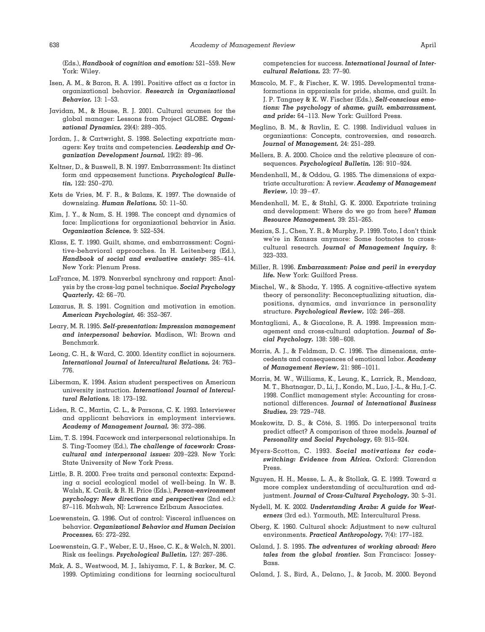(Eds.), *Handbook of cognition and emotion:* 521–559. New York: Wiley.

- Isen, A. M., & Baron, R. A. 1991. Positive affect as a factor in organizational behavior. *Research in Organizational Behavior,* 13: 1–53.
- Javidan, M., & House, R. J. 2001. Cultural acumen for the global manager: Lessons from Project GLOBE. *Organizational Dynamics,* 29(4): 289 –305.
- Jordan, J., & Cartwright, S. 1998. Selecting expatriate managers: Key traits and competencies. *Leadership and Organization Development Journal,* 19(2): 89 –96.
- Keltner, D., & Buswell, B. N. 1997. Embarrassment: Its distinct form and appeasement functions. *Psychological Bulletin,* 122: 250 –270.
- Kets de Vries, M. F. R., & Balazs, K. 1997. The downside of downsizing. *Human Relations,* 50: 11–50.
- Kim, J. Y., & Nam, S. H. 1998. The concept and dynamics of face: Implications for organizational behavior in Asia. *Organization Science,* 9: 522–534.
- Klass, E. T. 1990. Guilt, shame, and embarrassment: Cognitive-behavioral approaches. In H. Leitenberg (Ed.), Handbook of social and evaluative anxiety: 385-414. New York: Plenum Press.
- LaFrance, M. 1979. Nonverbal synchrony and rapport: Analysis by the cross-lag panel technique. *Social Psychology Quarterly,* 42: 66 –70.
- Lazarus, R. S. 1991. Cognition and motivation in emotion. *American Psychologist,* 46: 352–367.
- Leary, M. R. 1995. *Self-presentation: Impression management and interpersonal behavior.* Madison, WI: Brown and Benchmark.
- Leong, C. H., & Ward, C. 2000. Identity conflict in sojourners. *International Journal of Intercultural Relations,* 24: 763– 776.
- Liberman, K. 1994. Asian student perspectives on American university instruction. *International Journal of Intercultural Relations,* 18: 173–192.
- Liden, R. C., Martin, C. L., & Parsons, C. K. 1993. Interviewer and applicant behaviors in employment interviews. *Academy of Management Journal,* 36: 372–386.
- Lim, T. S. 1994. Facework and interpersonal relationships. In S. Ting-Toomey (Ed.), *The challenge of facework: Crosscultural and interpersonal issues:* 209 –229. New York: State University of New York Press.
- Little, B. R. 2000. Free traits and personal contexts: Expanding a social ecological model of well-being. In W. B. Walsh, K. Craik, & R. H. Price (Eds.), *Person-environment psychology: New directions and perspectives* (2nd ed.): 87–116. Mahwah, NJ: Lawrence Erlbaum Associates.
- Loewenstein, G. 1996. Out of control: Visceral influences on behavior. *Organizational Behavior and Human Decision Processes,* 65: 272–292.
- Loewenstein, G. F., Weber, E. U., Hsee, C. K., & Welch, N. 2001. Risk as feelings. *Psychological Bulletin,* 127: 267–286.
- Mak, A. S., Westwood, M. J., Ishiyama, F. I., & Barker, M. C. 1999. Optimizing conditions for learning sociocultural

competencies for success. *International Journal of Intercultural Relations,* 23: 77–90.

- Mascolo, M. F., & Fischer, K. W. 1995. Developmental transformations in appraisals for pride, shame, and guilt. In J. P. Tangney & K. W. Fischer (Eds.), *Self-conscious emotions: The psychology of shame, guilt, embarrassment, and pride:* 64 –113. New York: Guilford Press.
- Meglino, B. M., & Ravlin, E. C. 1998. Individual values in organizations: Concepts, controversies, and research. *Journal of Management,* 24: 251–289.
- Mellers, B. A. 2000. Choice and the relative pleasure of consequences. *Psychological Bulletin,* 126: 910 –924.
- Mendenhall, M., & Oddou, G. 1985. The dimensions of expatriate acculturation: A review. *Academy of Management Review,* 10: 39 – 47.
- Mendenhall, M. E., & Stahl, G. K. 2000. Expatriate training and development: Where do we go from here? *Human Resource Management,* 39: 251–265.
- Mezias, S. J., Chen, Y. R., & Murphy, P. 1999. Toto, I don't think we're in Kansas anymore: Some footnotes to crosscultural research. *Journal of Management Inquiry,* 8: 323–333.
- Miller, R. 1996. *Embarrassment: Poise and peril in everyday life.* New York: Guilford Press.
- Mischel, W., & Shoda, Y. 1995. A cognitive-affective system theory of personality: Reconceptualizing situation, dispositions, dynamics, and invariance in personality structure. *Psychological Review,* 102: 246 –268.
- Montagliani, A., & Giacalone, R. A. 1998. Impression management and cross-cultural adaptation. *Journal of Social Psychology,* 138: 598 – 608.
- Morris, A. J., & Feldman, D. C. 1996. The dimensions, antecedents and consequences of emotional labor. *Academy of Management Review,* 21: 986 –1011.
- Morris, M. W., Williams, K., Leung, K., Larrick, R., Mendoza, M. T., Bhatnagar, D., Li, J., Kondo, M., Luo, J.-L., & Hu, J.-C. 1998. Conflict management style: Accounting for crossnational differences. *Journal of International Business Studies,* 29: 729 –748.
- Moskowitz, D. S., & Côté, S. 1995. Do interpersonal traits predict affect? A comparison of three models. *Journal of Personality and Social Psychology,* 69: 915–924.
- Myers-Scotton, C. 1993. *Social motivations for codeswitching: Evidence from Africa.* Oxford: Clarendon Press.
- Nguyen, H. H., Messe, L. A., & Stollak, G. E. 1999. Toward a more complex understanding of acculturation and adjustment. *Journal of Cross-Cultural Psychology,* 30: 5–31.
- Nydell, M. K. 2002. *Understanding Arabs: A guide for Westerners* (3rd ed.). Yarmouth, ME: Intercultural Press.
- Oberg, K. 1960. Cultural shock: Adjustment to new cultural environments. *Practical Anthropology,* 7(4): 177–182.
- Osland, J. S. 1995. *The adventures of working abroad: Hero tales from the global frontier.* San Francisco: Jossey-Bass.
- Osland, J. S., Bird, A., Delano, J., & Jacob, M. 2000. Beyond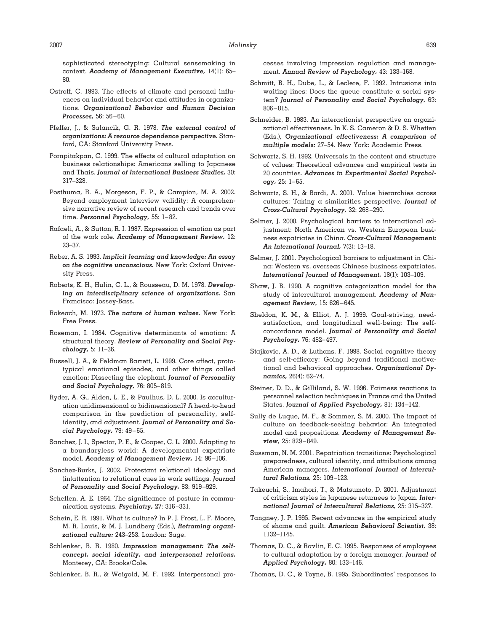sophisticated stereotyping: Cultural sensemaking in context. *Academy of Management Executive,* 14(1): 65– 80.

- Ostroff, C. 1993. The effects of climate and personal influences on individual behavior and attitudes in organizations. *Organizational Behavior and Human Decision Processes,* 56: 56 – 60.
- Pfeffer, J., & Salancik, G. R. 1978. *The external control of organizations: A resource dependence perspective.* Stanford, CA: Stanford University Press.
- Pornpitakpan, C. 1999. The effects of cultural adaptation on business relationships: Americans selling to Japanese and Thais. *Journal of International Business Studies,* 30: 317–328.
- Posthuma, R. A., Morgeson, F. P., & Campion, M. A. 2002. Beyond employment interview validity: A comprehensive narrative review of recent research and trends over time. Personnel Psychology, 55: 1-82.
- Rafaeli, A., & Sutton, R. I. 1987. Expression of emotion as part of the work role. *Academy of Management Review,* 12: 23–37.
- Reber, A. S. 1993. *Implicit learning and knowledge: An essay on the cognitive unconscious.* New York: Oxford University Press.
- Roberts, K. H., Hulin, C. L., & Rousseau, D. M. 1978. *Developing an interdisciplinary science of organizations.* San Francisco: Jossey-Bass.
- Rokeach, M. 1973. *The nature of human values.* New York: Free Press.
- Roseman, I. 1984. Cognitive determinants of emotion: A structural theory. *Review of Personality and Social Psychology,* 5: 11–36.
- Russell, J. A., & Feldman Barrett, L. 1999. Core affect, prototypical emotional episodes, and other things called emotion: Dissecting the elephant. *Journal of Personality and Social Psychology,* 76: 805– 819.
- Ryder, A. G., Alden, L. E., & Paulhus, D. L. 2000. Is acculturation unidimensional or bidimensional? A head-to-head comparison in the prediction of personality, selfidentity, and adjustment. *Journal of Personality and Social Psychology,* 79: 49 – 65.
- Sanchez, J. I., Spector, P. E., & Cooper, C. L. 2000. Adapting to a boundaryless world: A developmental expatriate model. *Academy of Management Review,* 14: 96 –106.
- Sanchez-Burks, J. 2002. Protestant relational ideology and (in)attention to relational cues in work settings. *Journal of Personality and Social Psychology,* 83: 919 –929.
- Scheflen, A. E. 1964. The significance of posture in communication systems. *Psychiatry,* 27: 316 –331.
- Schein, E. R. 1991. What is culture? In P. J. Frost, L. F. Moore, M. R. Louis, & M. J. Lundberg (Eds.), *Reframing organizational culture:* 243–253. London: Sage.
- Schlenker, B. R. 1980. *Impression management: The selfconcept, social identity, and interpersonal relations.* Monterey, CA: Brooks/Cole.
- Schlenker, B. R., & Weigold, M. F. 1992. Interpersonal pro-

cesses involving impression regulation and management. *Annual Review of Psychology,* 43: 133–168.

- Schmitt, B. H., Dube, L., & Leclere, F. 1992. Intrusions into waiting lines: Does the queue constitute  $\alpha$  social system? *Journal of Personality and Social Psychology,* 63: 806 – 815.
- Schneider, B. 1983. An interactionist perspective on organizational effectiveness. In K. S. Cameron & D. S. Whetten (Eds.), *Organizational effectiveness: A comparison of multiple models:* 27–54. New York: Academic Press.
- Schwartz, S. H. 1992. Universals in the content and structure of values: Theoretical advances and empirical tests in 20 countries. *Advances in Experimental Social Psychology,* 25: 1– 65.
- Schwartz, S. H., & Bardi, A. 2001. Value hierarchies across cultures: Taking a similarities perspective. *Journal of Cross-Cultural Psychology,* 32: 268 –290.
- Selmer, J. 2000. Psychological barriers to international adjustment: North American vs. Western European business expatriates in China. *Cross-Cultural Management: An International Journal,* 7(3): 13–18.
- Selmer, J. 2001. Psychological barriers to adjustment in China: Western vs. overseas Chinese business expatriates. *International Journal of Management,* 18(1): 103–109.
- Shaw, J. B. 1990. A cognitive categorization model for the study of intercultural management. *Academy of Management Review,* 15: 626 – 645.
- Sheldon, K. M., & Elliot, A. J. 1999. Goal-striving, needsatisfaction, and longitudinal well-being: The selfconcordance model. *Journal of Personality and Social Psychology,* 76: 482– 497.
- Stajkovic, A. D., & Luthans, F. 1998. Social cognitive theory and self-efficacy: Going beyond traditional motivational and behavioral approaches. *Organizational Dynamics,* 26(4): 62–74.
- Steiner, D. D., & Gilliland, S. W. 1996. Fairness reactions to personnel selection techniques in France and the United States. *Journal of Applied Psychology,* 81: 134 –142.
- Sully de Luque, M. F., & Sommer, S. M. 2000. The impact of culture on feedback-seeking behavior: An integrated model and propositions. *Academy of Management Review,* 25: 829 – 849.
- Sussman, N. M. 2001. Repatriation transitions: Psychological preparedness, cultural identity, and attributions among American managers. *International Journal of Intercultural Relations,* 25: 109 –123.
- Takeuchi, S., Imahori, T., & Matsumoto, D. 2001. Adjustment of criticism styles in Japanese returnees to Japan. *International Journal of Intercultural Relations,* 25: 315–327.
- Tangney, J. P. 1995. Recent advances in the empirical study of shame and guilt. *American Behavioral Scientist,* 38: 1132–1145.
- Thomas, D. C., & Ravlin, E. C. 1995. Responses of employees to cultural adaptation by a foreign manager. *Journal of Applied Psychology,* 80: 133–146.
- Thomas, D. C., & Toyne, B. 1995. Subordinates' responses to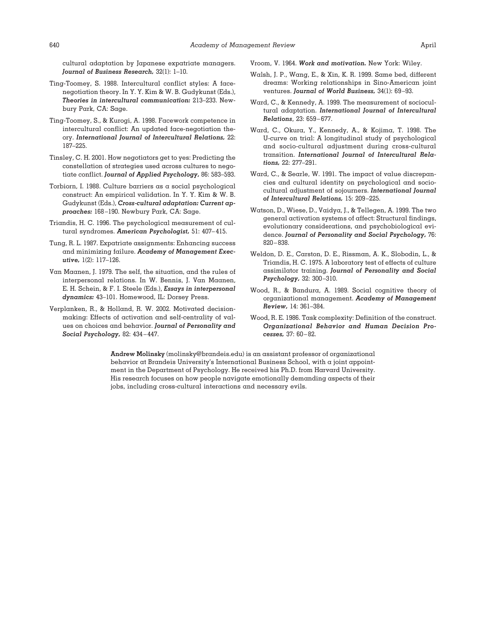cultural adaptation by Japanese expatriate managers. *Journal of Business Research,* 32(1): 1–10.

- Ting-Toomey, S. 1988. Intercultural conflict styles: A facenegotiation theory. In Y. Y. Kim & W. B. Gudykunst (Eds.), *Theories in intercultural communication:* 213–233. Newbury Park, CA: Sage.
- Ting-Toomey, S., & Kurogi, A. 1998. Facework competence in intercultural conflict: An updated face-negotiation theory. *International Journal of Intercultural Relations,* 22: 187–225.
- Tinsley, C. H. 2001. How negotiators get to yes: Predicting the constellation of strategies used across cultures to negotiate conflict. *Journal of Applied Psychology,* 86: 583–593.
- Torbiorn, I. 1988. Culture barriers as a social psychological construct: An empirical validation. In Y. Y. Kim & W. B. Gudykunst (Eds.), *Cross-cultural adaptation: Current approaches:* 168 –190. Newbury Park, CA: Sage.
- Triandis, H. C. 1996. The psychological measurement of cultural syndromes. *American Psychologist*, 51: 407-415.
- Tung, R. L. 1987. Expatriate assignments: Enhancing success and minimizing failure. *Academy of Management Executive,* 1(2): 117–126.
- Van Maanen, J. 1979. The self, the situation, and the rules of interpersonal relations. In W. Bennis, J. Van Maanen, E. H. Schein, & F. I. Steele (Eds.), *Essays in interpersonal dynamics:* 43–101. Homewood, IL: Dorsey Press.
- Verplanken, R., & Holland, R. W. 2002. Motivated decisionmaking: Effects of activation and self-centrality of values on choices and behavior. *Journal of Personality and Social Psychology,* 82: 434 – 447.

Vroom, V. 1964. *Work and motivation.* New York: Wiley.

- Walsh, J. P., Wang, E., & Xin, K. R. 1999. Same bed, different dreams: Working relationships in Sino-American joint ventures. *Journal of World Business,* 34(1): 69 –93.
- Ward, C., & Kennedy, A. 1999. The measurement of sociocultural adaptation. *International Journal of Intercultural Relations*, 23: 659 – 677.
- Ward, C., Okura, Y., Kennedy, A., & Kojima, T. 1998. The U-curve on trial: A longitudinal study of psychological and socio-cultural adjustment during cross-cultural transition. *International Journal of Intercultural Relations,* 22: 277–291.
- Ward, C., & Searle, W. 1991. The impact of value discrepancies and cultural identity on psychological and sociocultural adjustment of sojourners. *International Journal of Intercultural Relations,* 15: 209 –225.
- Watson, D., Wiese, D., Vaidya, J., & Tellegen, A. 1999. The two general activation systems of affect: Structural findings, evolutionary considerations, and psychobiological evidence. *Journal of Personality and Social Psychology,* 76: 820 – 838.
- Weldon, D. E., Carston, D. E., Rissman, A. K., Slobodin, L., & Triandis, H. C. 1975. A laboratory test of effects of culture assimilator training. *Journal of Personality and Social Psychology,* 32: 300 –310.
- Wood, R., & Bandura, A. 1989. Social cognitive theory of organizational management. *Academy of Management Review,* 14: 361–384.
- Wood, R. E. 1986. Task complexity: Definition of the construct. *Organizational Behavior and Human Decision Processes,* 37: 60 – 82.

**Andrew Molinsky** (molinsky@brandeis.edu) is an assistant professor of organizational behavior at Brandeis University's International Business School, with  $\alpha$  joint appointment in the Department of Psychology. He received his Ph.D. from Harvard University. His research focuses on how people navigate emotionally demanding aspects of their jobs, including cross-cultural interactions and necessary evils.